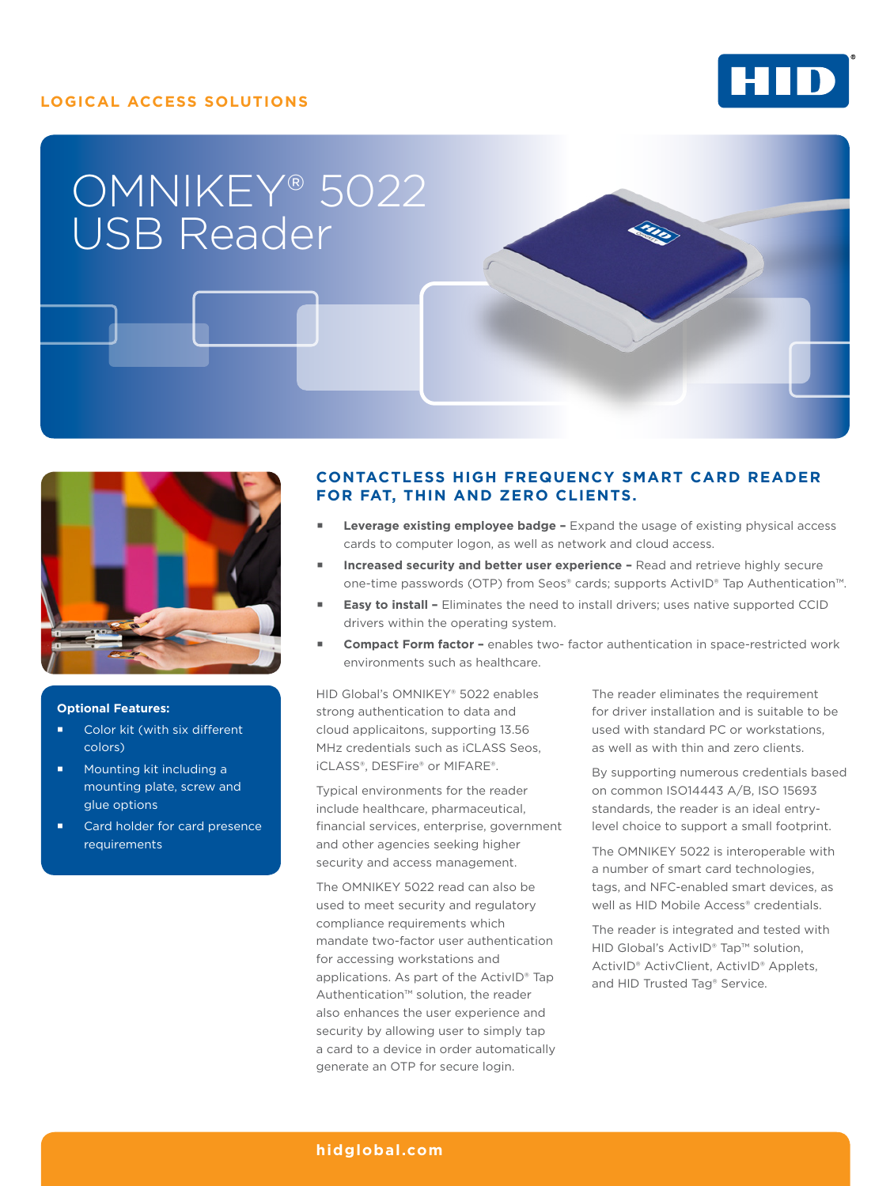### **LOGICAL ACCESS SOLUTIONS**



# OMNIKEY® 5022 USB Reader



### **Optional Features:**

- Color kit (with six different colors)
- **Mounting kit including a** mounting plate, screw and glue options
- Card holder for card presence requirements

## **CONTACTLESS HIGH FREQUENCY SMART CARD READER FOR FAT, THIN AND ZERO CLIENTS.**

- **Leverage existing employee badge –** Expand the usage of existing physical access cards to computer logon, as well as network and cloud access.
- **Increased security and better user experience** Read and retrieve highly secure one-time passwords (OTP) from Seos® cards; supports ActivID® Tap Authentication™.
- **Easy to install** Eliminates the need to install drivers; uses native supported CCID drivers within the operating system.
- **Compact Form factor** enables two- factor authentication in space-restricted work environments such as healthcare.

HID Global's OMNIKEY® 5022 enables strong authentication to data and cloud applicaitons, supporting 13.56 MHz credentials such as iCLASS Seos, iCLASS®, DESFire® or MIFARE®.

Typical environments for the reader include healthcare, pharmaceutical, financial services, enterprise, government and other agencies seeking higher security and access management.

The OMNIKEY 5022 read can also be used to meet security and regulatory compliance requirements which mandate two-factor user authentication for accessing workstations and applications. As part of the ActivID® Tap Authentication™ solution, the reader also enhances the user experience and security by allowing user to simply tap a card to a device in order automatically generate an OTP for secure login.

The reader eliminates the requirement for driver installation and is suitable to be used with standard PC or workstations, as well as with thin and zero clients.

By supporting numerous credentials based on common ISO14443 A/B, ISO 15693 standards, the reader is an ideal entrylevel choice to support a small footprint.

The OMNIKEY 5022 is interoperable with a number of smart card technologies, tags, and NFC-enabled smart devices, as well as HID Mobile Access® credentials.

The reader is integrated and tested with HID Global's ActivID® Tap™ solution, ActivID® ActivClient, ActivID® Applets, and HID Trusted Tag® Service.

### **[hidglobal.com](http://hidglobal.com)**